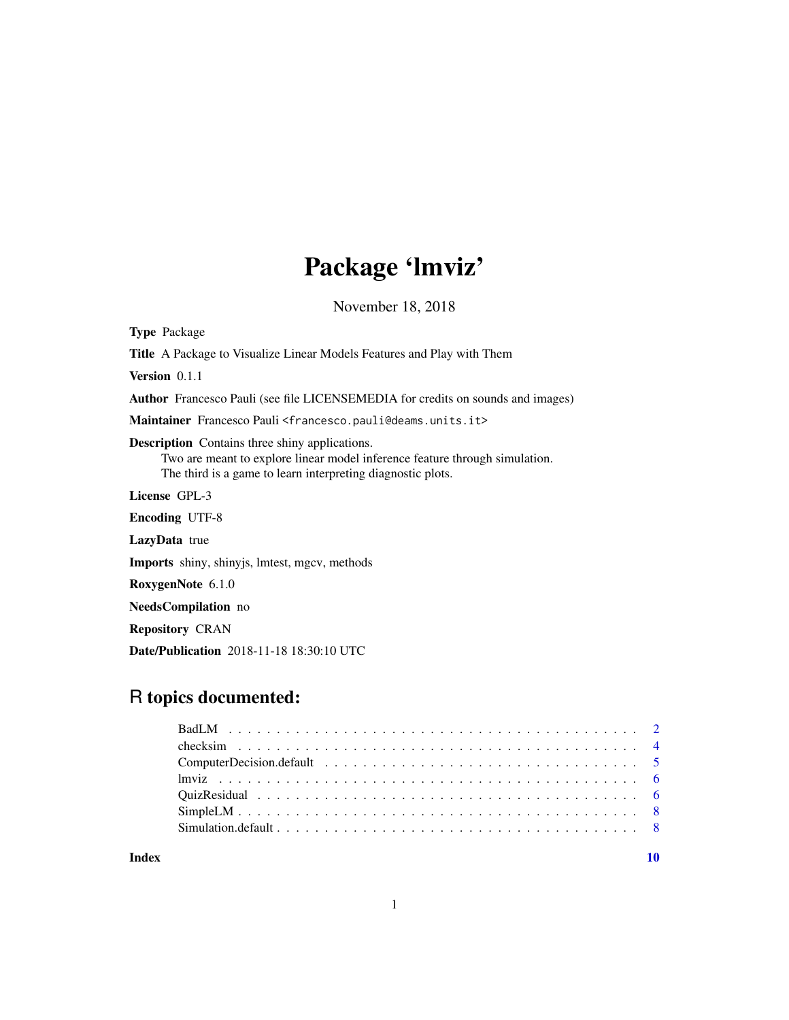## Package 'lmviz'

November 18, 2018

<span id="page-0-0"></span>Type Package

Title A Package to Visualize Linear Models Features and Play with Them

Version 0.1.1

Author Francesco Pauli (see file LICENSEMEDIA for credits on sounds and images)

Maintainer Francesco Pauli <francesco.pauli@deams.units.it>

Description Contains three shiny applications.

Two are meant to explore linear model inference feature through simulation. The third is a game to learn interpreting diagnostic plots.

License GPL-3

Encoding UTF-8

LazyData true

Imports shiny, shinyjs, lmtest, mgcv, methods

RoxygenNote 6.1.0

NeedsCompilation no

Repository CRAN

Date/Publication 2018-11-18 18:30:10 UTC

## R topics documented:

 $\blacksquare$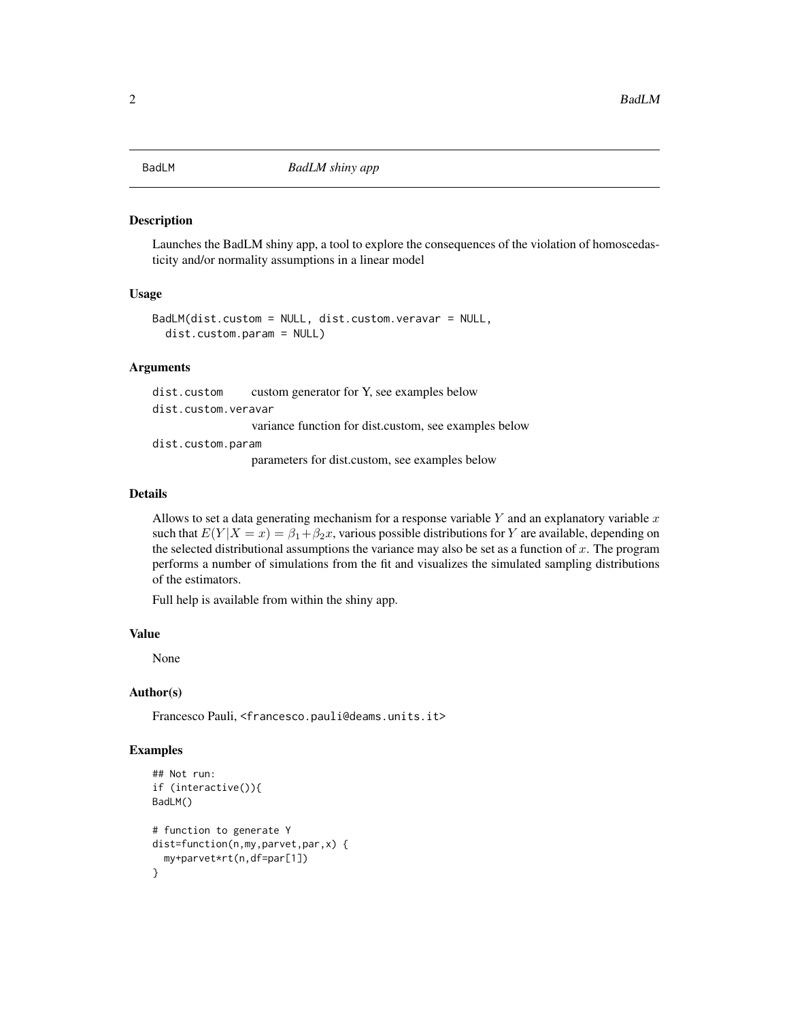<span id="page-1-1"></span><span id="page-1-0"></span>

#### Description

Launches the BadLM shiny app, a tool to explore the consequences of the violation of homoscedasticity and/or normality assumptions in a linear model

#### Usage

```
BadLM(dist.custom = NULL, dist.custom.veravar = NULL,
  dist.custom.param = NULL)
```
#### Arguments

dist.custom custom generator for Y, see examples below dist.custom.veravar variance function for dist.custom, see examples below dist.custom.param parameters for dist.custom, see examples below

#### Details

Allows to set a data generating mechanism for a response variable  $Y$  and an explanatory variable  $x$ such that  $E(Y|X=x) = \beta_1 + \beta_2 x$ , various possible distributions for Y are available, depending on the selected distributional assumptions the variance may also be set as a function of  $x$ . The program performs a number of simulations from the fit and visualizes the simulated sampling distributions of the estimators.

Full help is available from within the shiny app.

#### Value

None

#### Author(s)

Francesco Pauli, <francesco.pauli@deams.units.it>

#### Examples

```
## Not run:
if (interactive()){
BadLM()
# function to generate Y
dist=function(n,my,parvet,par,x) {
  my+parvet*rt(n,df=par[1])
}
```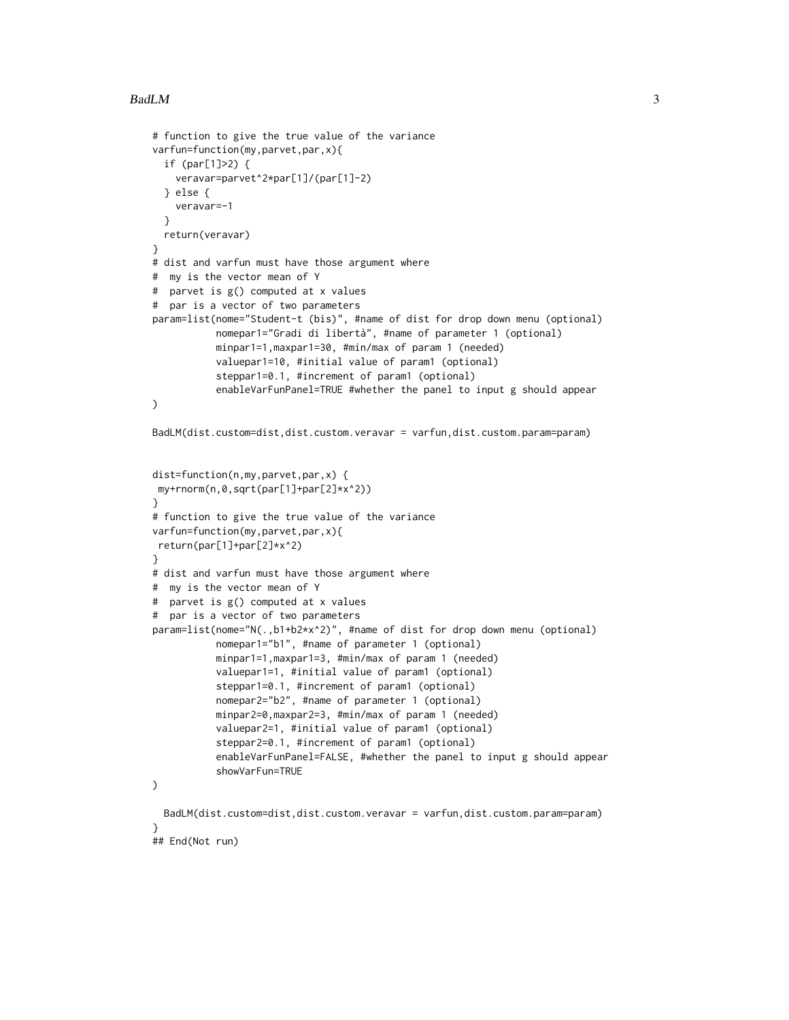#### $BadLM$  3

```
# function to give the true value of the variance
varfun=function(my,parvet,par,x){
 if (par[1]>2) {
   veravar=parvet^2*par[1]/(par[1]-2)
 } else {
   veravar=-1
 }
 return(veravar)
}
# dist and varfun must have those argument where
# my is the vector mean of Y
# parvet is g() computed at x values
# par is a vector of two parameters
param=list(nome="Student-t (bis)", #name of dist for drop down menu (optional)
          nomepar1="Gradi di libertà", #name of parameter 1 (optional)
          minpar1=1,maxpar1=30, #min/max of param 1 (needed)
          valuepar1=10, #initial value of param1 (optional)
           steppar1=0.1, #increment of param1 (optional)
           enableVarFunPanel=TRUE #whether the panel to input g should appear
)
BadLM(dist.custom=dist,dist.custom.veravar = varfun,dist.custom.param=param)
dist=function(n,my,parvet,par,x) {
my+rnorm(n,0,sqrt(par[1]+par[2]*x^2))
}
# function to give the true value of the variance
varfun=function(my,parvet,par,x){
return(par[1]+par[2]*x^2)
}
# dist and varfun must have those argument where
# my is the vector mean of Y
# parvet is g() computed at x values
# par is a vector of two parameters
param=list(nome="N(.,b1+b2*x^2)", #name of dist for drop down menu (optional)
          nomepar1="b1", #name of parameter 1 (optional)
          minpar1=1,maxpar1=3, #min/max of param 1 (needed)
           valuepar1=1, #initial value of param1 (optional)
           steppar1=0.1, #increment of param1 (optional)
           nomepar2="b2", #name of parameter 1 (optional)
          minpar2=0,maxpar2=3, #min/max of param 1 (needed)
           valuepar2=1, #initial value of param1 (optional)
           steppar2=0.1, #increment of param1 (optional)
           enableVarFunPanel=FALSE, #whether the panel to input g should appear
           showVarFun=TRUE
)
 BadLM(dist.custom=dist,dist.custom.veravar = varfun,dist.custom.param=param)
}
## End(Not run)
```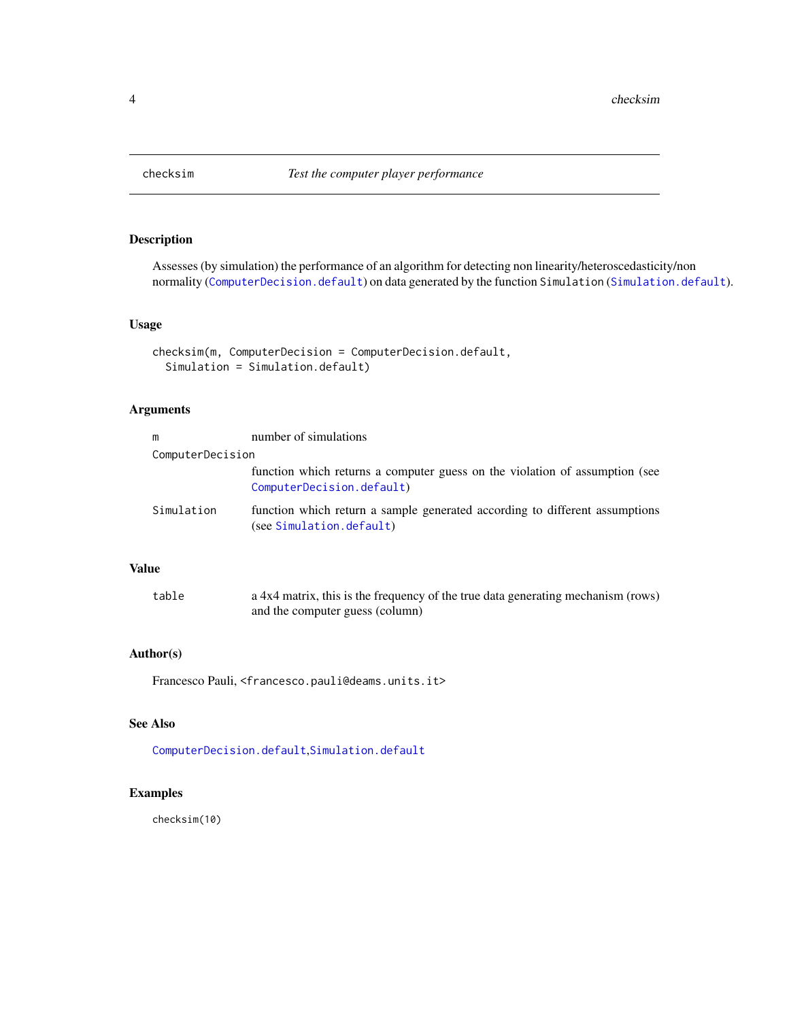<span id="page-3-1"></span><span id="page-3-0"></span>

## Description

Assesses (by simulation) the performance of an algorithm for detecting non linearity/heteroscedasticity/non normality ([ComputerDecision.default](#page-4-1)) on data generated by the function Simulation ([Simulation.default](#page-7-1)).

## Usage

```
checksim(m, ComputerDecision = ComputerDecision.default,
  Simulation = Simulation.default)
```
## Arguments

| m                | number of simulations                                                                                    |  |  |  |
|------------------|----------------------------------------------------------------------------------------------------------|--|--|--|
| ComputerDecision |                                                                                                          |  |  |  |
|                  | function which returns a computer guess on the violation of assumption (see<br>ComputerDecision.default) |  |  |  |
| Simulation       | function which return a sample generated according to different assumptions<br>(see Simulation.default)  |  |  |  |

## Value

| table | a 4x4 matrix, this is the frequency of the true data generating mechanism (rows) |
|-------|----------------------------------------------------------------------------------|
|       | and the computer guess (column)                                                  |

#### Author(s)

Francesco Pauli, <francesco.pauli@deams.units.it>

#### See Also

[ComputerDecision.default](#page-4-1),[Simulation.default](#page-7-1)

## Examples

checksim(10)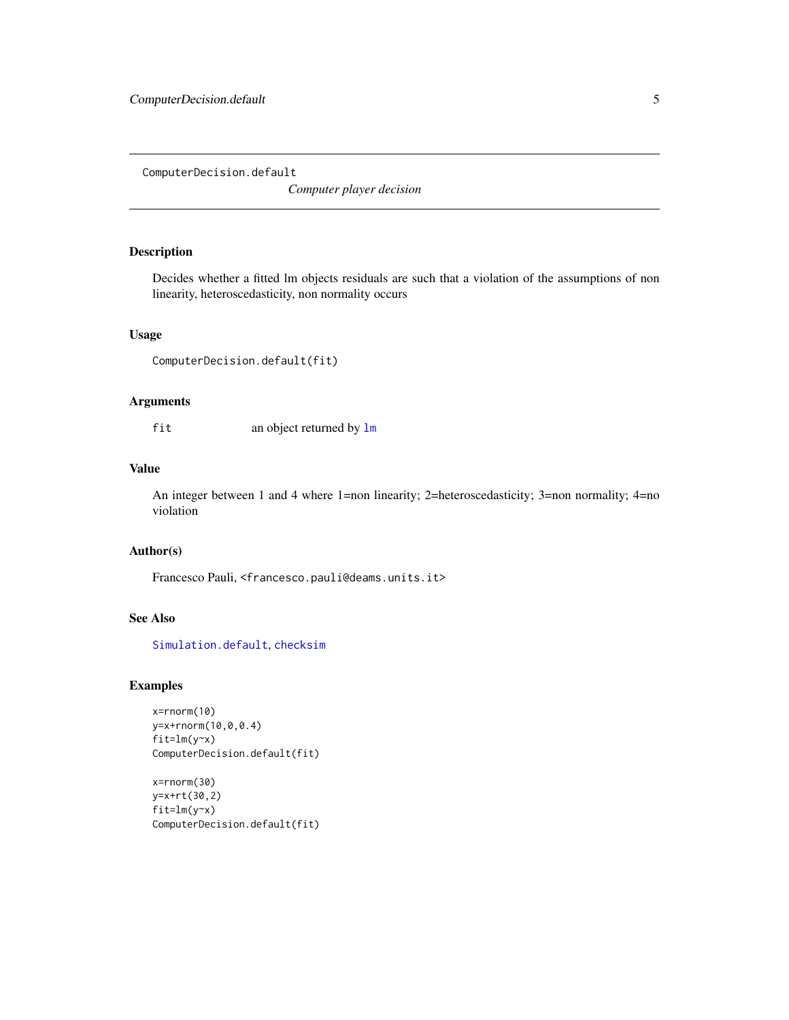<span id="page-4-1"></span><span id="page-4-0"></span>ComputerDecision.default

*Computer player decision*

## Description

Decides whether a fitted lm objects residuals are such that a violation of the assumptions of non linearity, heteroscedasticity, non normality occurs

## Usage

```
ComputerDecision.default(fit)
```
#### Arguments

fit an object returned by [lm](#page-0-0)

#### Value

An integer between 1 and 4 where 1=non linearity; 2=heteroscedasticity; 3=non normality; 4=no violation

## Author(s)

Francesco Pauli, <francesco.pauli@deams.units.it>

#### See Also

[Simulation.default](#page-7-1), [checksim](#page-3-1)

#### Examples

```
x=rnorm(10)
y=x+rnorm(10,0,0.4)
fit=lm(y~x)
ComputerDecision.default(fit)
```

```
x=rnorm(30)
y=x+rt(30,2)
fit=lm(y~x)
ComputerDecision.default(fit)
```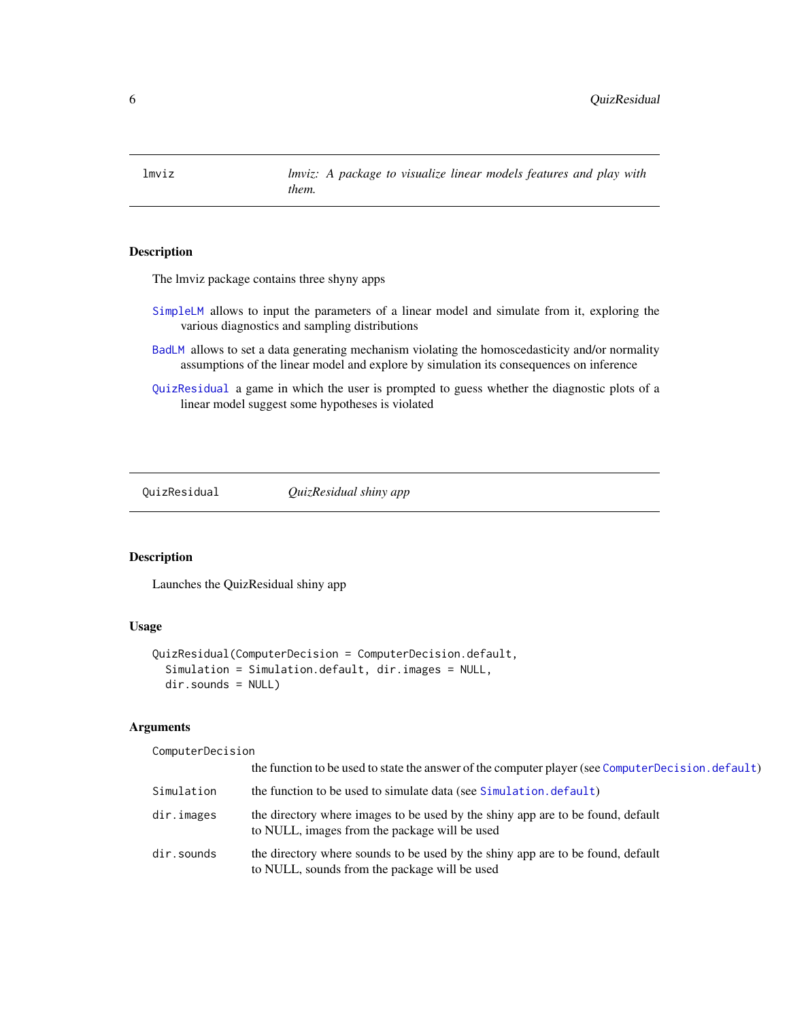<span id="page-5-0"></span>lmviz *lmviz: A package to visualize linear models features and play with them.*

## Description

The lmviz package contains three shyny apps

- [SimpleLM](#page-7-2) allows to input the parameters of a linear model and simulate from it, exploring the various diagnostics and sampling distributions
- [BadLM](#page-1-1) allows to set a data generating mechanism violating the homoscedasticity and/or normality assumptions of the linear model and explore by simulation its consequences on inference
- [QuizResidual](#page-5-1) a game in which the user is prompted to guess whether the diagnostic plots of a linear model suggest some hypotheses is violated

<span id="page-5-1"></span>

QuizResidual *QuizResidual shiny app*

#### Description

Launches the QuizResidual shiny app

#### Usage

```
QuizResidual(ComputerDecision = ComputerDecision.default,
  Simulation = Simulation.default, dir.images = NULL,
  dir.sounds = NULL)
```
#### Arguments

ComputerDecision

|            | the function to be used to state the answer of the computer player (see Computer Decision. default)                              |  |
|------------|----------------------------------------------------------------------------------------------------------------------------------|--|
| Simulation | the function to be used to simulate data (see Simulation. default)                                                               |  |
| dir.images | the directory where images to be used by the shiny app are to be found, default<br>to NULL, images from the package will be used |  |
| dir.sounds | the directory where sounds to be used by the shiny app are to be found, default<br>to NULL, sounds from the package will be used |  |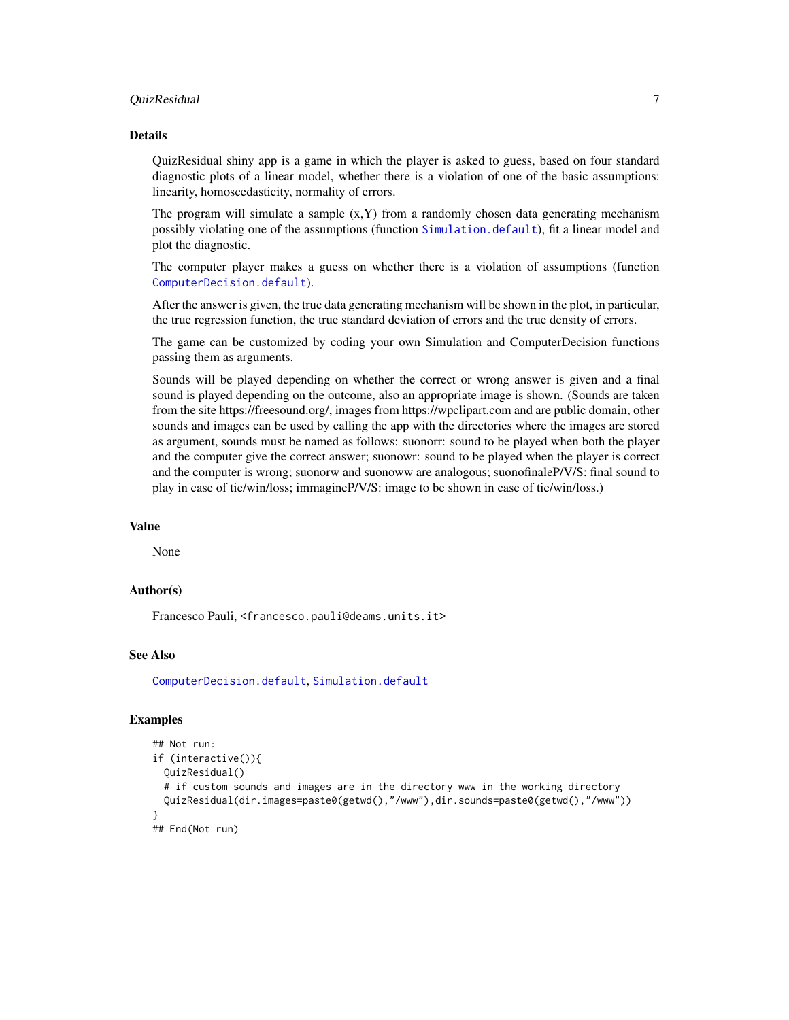#### <span id="page-6-0"></span>QuizResidual 7

#### Details

QuizResidual shiny app is a game in which the player is asked to guess, based on four standard diagnostic plots of a linear model, whether there is a violation of one of the basic assumptions: linearity, homoscedasticity, normality of errors.

The program will simulate a sample  $(x, Y)$  from a randomly chosen data generating mechanism possibly violating one of the assumptions (function [Simulation.default](#page-7-1)), fit a linear model and plot the diagnostic.

The computer player makes a guess on whether there is a violation of assumptions (function [ComputerDecision.default](#page-4-1)).

After the answer is given, the true data generating mechanism will be shown in the plot, in particular, the true regression function, the true standard deviation of errors and the true density of errors.

The game can be customized by coding your own Simulation and ComputerDecision functions passing them as arguments.

Sounds will be played depending on whether the correct or wrong answer is given and a final sound is played depending on the outcome, also an appropriate image is shown. (Sounds are taken from the site https://freesound.org/, images from https://wpclipart.com and are public domain, other sounds and images can be used by calling the app with the directories where the images are stored as argument, sounds must be named as follows: suonorr: sound to be played when both the player and the computer give the correct answer; suonowr: sound to be played when the player is correct and the computer is wrong; suonorw and suonoww are analogous; suonofinaleP/V/S: final sound to play in case of tie/win/loss; immagineP/V/S: image to be shown in case of tie/win/loss.)

#### Value

None

#### Author(s)

Francesco Pauli, <francesco.pauli@deams.units.it>

#### See Also

[ComputerDecision.default](#page-4-1), [Simulation.default](#page-7-1)

#### Examples

```
## Not run:
if (interactive()){
 QuizResidual()
 # if custom sounds and images are in the directory www in the working directory
 QuizResidual(dir.images=paste0(getwd(),"/www"),dir.sounds=paste0(getwd(),"/www"))
}
## End(Not run)
```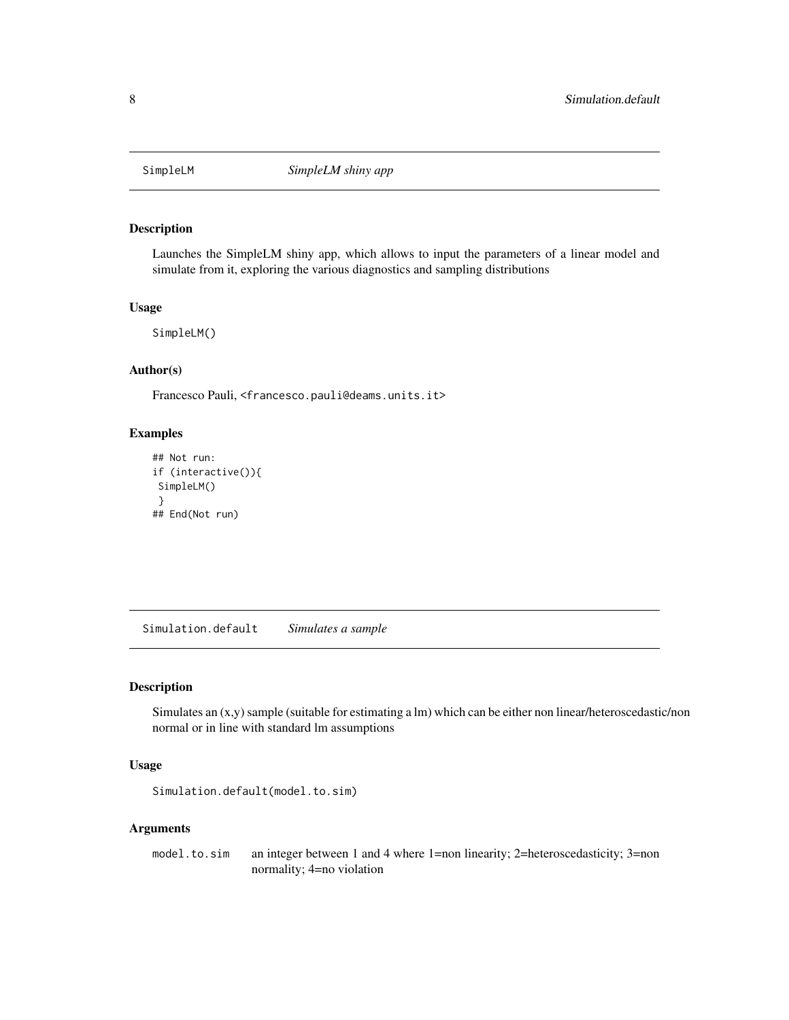<span id="page-7-2"></span><span id="page-7-0"></span>

#### Description

Launches the SimpleLM shiny app, which allows to input the parameters of a linear model and simulate from it, exploring the various diagnostics and sampling distributions

#### Usage

SimpleLM()

#### Author(s)

Francesco Pauli, <francesco.pauli@deams.units.it>

#### Examples

```
## Not run:
if (interactive()){
SimpleLM()
}
## End(Not run)
```
<span id="page-7-1"></span>Simulation.default *Simulates a sample*

#### Description

Simulates an (x,y) sample (suitable for estimating a lm) which can be either non linear/heteroscedastic/non normal or in line with standard lm assumptions

## Usage

Simulation.default(model.to.sim)

#### Arguments

model.to.sim an integer between 1 and 4 where 1=non linearity; 2=heteroscedasticity; 3=non normality; 4=no violation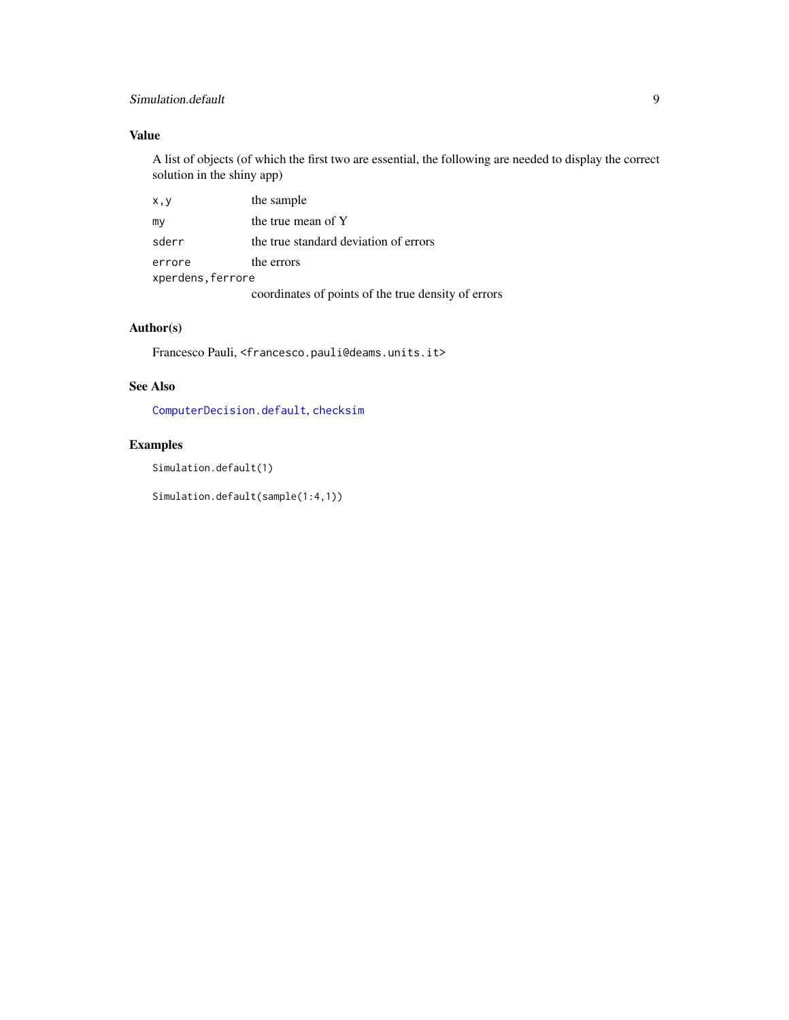## <span id="page-8-0"></span>Simulation.default 9

## Value

A list of objects (of which the first two are essential, the following are needed to display the correct solution in the shiny app)

| x,y               | the sample                                          |  |  |  |
|-------------------|-----------------------------------------------------|--|--|--|
| my                | the true mean of Y                                  |  |  |  |
| sderr             | the true standard deviation of errors               |  |  |  |
| errore            | the errors                                          |  |  |  |
| xperdens, ferrore |                                                     |  |  |  |
|                   | coordinates of points of the true density of errors |  |  |  |

## Author(s)

Francesco Pauli, <francesco.pauli@deams.units.it>

## See Also

[ComputerDecision.default](#page-4-1), [checksim](#page-3-1)

## Examples

Simulation.default(1)

Simulation.default(sample(1:4,1))